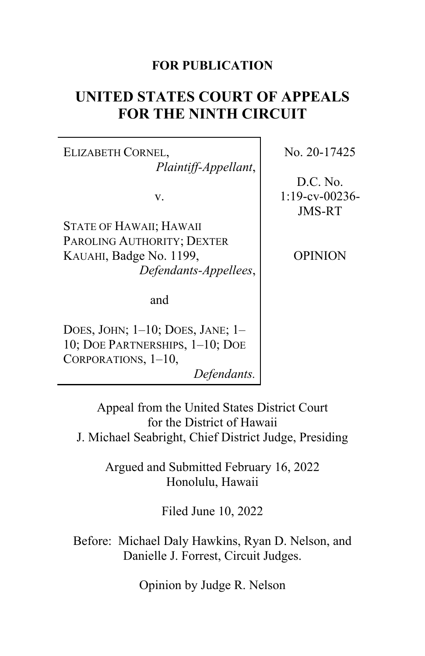# **FOR PUBLICATION**

# **UNITED STATES COURT OF APPEALS FOR THE NINTH CIRCUIT**

ELIZABETH CORNEL, *Plaintiff-Appellant*,

v.

STATE OF HAWAII; HAWAII PAROLING AUTHORITY; DEXTER KAUAHI, Badge No. 1199, *Defendants-Appellees*,

and

DOES, JOHN; 1–10; DOES, JANE; 1– 10; DOE PARTNERSHIPS, 1–10; DOE CORPORATIONS, 1–10,

*Defendants.*

No. 20-17425

D.C. No. 1:19-cv-00236- JMS-RT

OPINION

Appeal from the United States District Court for the District of Hawaii J. Michael Seabright, Chief District Judge, Presiding

> Argued and Submitted February 16, 2022 Honolulu, Hawaii

> > Filed June 10, 2022

Before: Michael Daly Hawkins, Ryan D. Nelson, and Danielle J. Forrest, Circuit Judges.

Opinion by Judge R. Nelson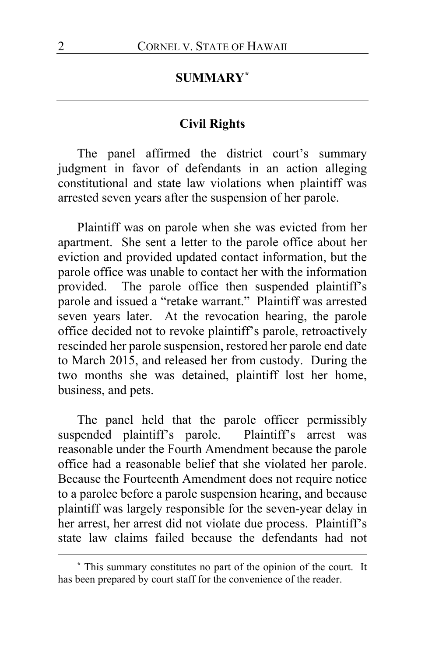## **SUMMARY[\\*](#page-1-0)**

### **Civil Rights**

The panel affirmed the district court's summary judgment in favor of defendants in an action alleging constitutional and state law violations when plaintiff was arrested seven years after the suspension of her parole.

Plaintiff was on parole when she was evicted from her apartment. She sent a letter to the parole office about her eviction and provided updated contact information, but the parole office was unable to contact her with the information provided. The parole office then suspended plaintiff's parole and issued a "retake warrant." Plaintiff was arrested seven years later. At the revocation hearing, the parole office decided not to revoke plaintiff's parole, retroactively rescinded her parole suspension, restored her parole end date to March 2015, and released her from custody. During the two months she was detained, plaintiff lost her home, business, and pets.

The panel held that the parole officer permissibly suspended plaintiff's parole. Plaintiff's arrest was reasonable under the Fourth Amendment because the parole office had a reasonable belief that she violated her parole. Because the Fourteenth Amendment does not require notice to a parolee before a parole suspension hearing, and because plaintiff was largely responsible for the seven-year delay in her arrest, her arrest did not violate due process. Plaintiff's state law claims failed because the defendants had not

<span id="page-1-0"></span>**<sup>\*</sup>** This summary constitutes no part of the opinion of the court. It has been prepared by court staff for the convenience of the reader.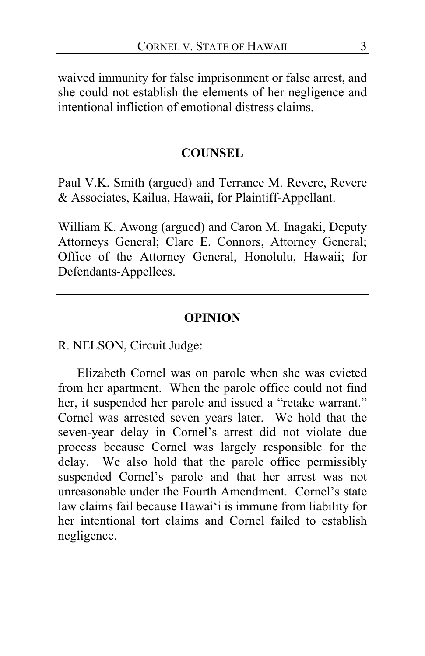waived immunity for false imprisonment or false arrest, and she could not establish the elements of her negligence and intentional infliction of emotional distress claims.

## **COUNSEL**

Paul V.K. Smith (argued) and Terrance M. Revere, Revere & Associates, Kailua, Hawaii, for Plaintiff-Appellant.

William K. Awong (argued) and Caron M. Inagaki, Deputy Attorneys General; Clare E. Connors, Attorney General; Office of the Attorney General, Honolulu, Hawaii; for Defendants-Appellees.

### **OPINION**

R. NELSON, Circuit Judge:

Elizabeth Cornel was on parole when she was evicted from her apartment. When the parole office could not find her, it suspended her parole and issued a "retake warrant." Cornel was arrested seven years later. We hold that the seven-year delay in Cornel's arrest did not violate due process because Cornel was largely responsible for the delay. We also hold that the parole office permissibly suspended Cornel's parole and that her arrest was not unreasonable under the Fourth Amendment. Cornel's state law claims fail because Hawai'i is immune from liability for her intentional tort claims and Cornel failed to establish negligence.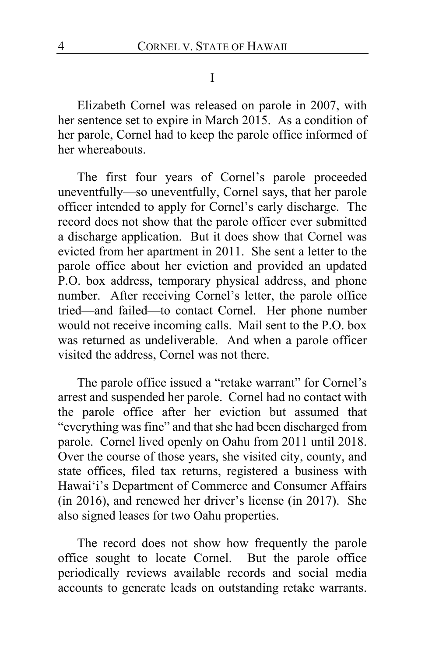#### I

Elizabeth Cornel was released on parole in 2007, with her sentence set to expire in March 2015. As a condition of her parole, Cornel had to keep the parole office informed of her whereabouts.

The first four years of Cornel's parole proceeded uneventfully—so uneventfully, Cornel says, that her parole officer intended to apply for Cornel's early discharge. The record does not show that the parole officer ever submitted a discharge application. But it does show that Cornel was evicted from her apartment in 2011. She sent a letter to the parole office about her eviction and provided an updated P.O. box address, temporary physical address, and phone number. After receiving Cornel's letter, the parole office tried—and failed—to contact Cornel. Her phone number would not receive incoming calls. Mail sent to the P.O. box was returned as undeliverable. And when a parole officer visited the address, Cornel was not there.

The parole office issued a "retake warrant" for Cornel's arrest and suspended her parole. Cornel had no contact with the parole office after her eviction but assumed that "everything was fine" and that she had been discharged from parole. Cornel lived openly on Oahu from 2011 until 2018. Over the course of those years, she visited city, county, and state offices, filed tax returns, registered a business with Hawai'i's Department of Commerce and Consumer Affairs (in 2016), and renewed her driver's license (in 2017). She also signed leases for two Oahu properties.

The record does not show how frequently the parole office sought to locate Cornel. But the parole office periodically reviews available records and social media accounts to generate leads on outstanding retake warrants.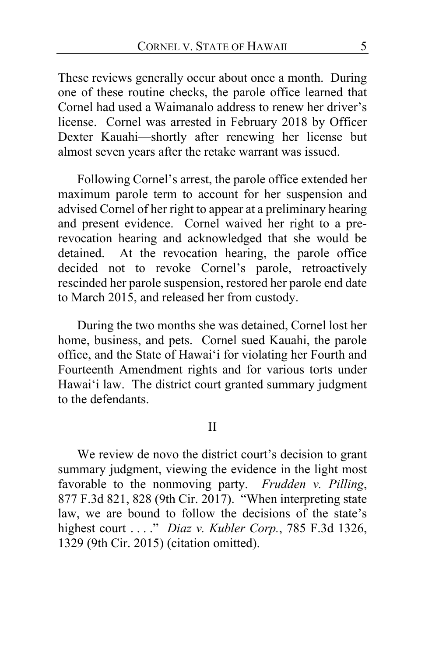These reviews generally occur about once a month. During one of these routine checks, the parole office learned that Cornel had used a Waimanalo address to renew her driver's license. Cornel was arrested in February 2018 by Officer Dexter Kauahi—shortly after renewing her license but almost seven years after the retake warrant was issued.

Following Cornel's arrest, the parole office extended her maximum parole term to account for her suspension and advised Cornel of her right to appear at a preliminary hearing and present evidence. Cornel waived her right to a prerevocation hearing and acknowledged that she would be detained. At the revocation hearing, the parole office decided not to revoke Cornel's parole, retroactively rescinded her parole suspension, restored her parole end date to March 2015, and released her from custody.

During the two months she was detained, Cornel lost her home, business, and pets. Cornel sued Kauahi, the parole office, and the State of Hawai'i for violating her Fourth and Fourteenth Amendment rights and for various torts under Hawai'i law. The district court granted summary judgment to the defendants.

II

We review de novo the district court's decision to grant summary judgment, viewing the evidence in the light most favorable to the nonmoving party. *Frudden v. Pilling*, 877 F.3d 821, 828 (9th Cir. 2017). "When interpreting state law, we are bound to follow the decisions of the state's highest court . . . ." *Diaz v. Kubler Corp.*, 785 F.3d 1326, 1329 (9th Cir. 2015) (citation omitted).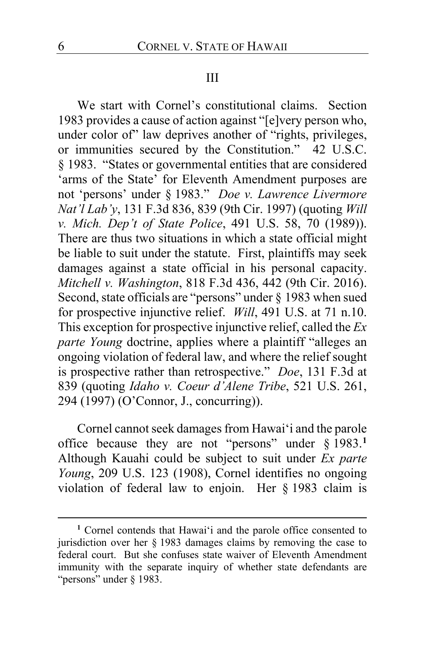### III

We start with Cornel's constitutional claims. Section 1983 provides a cause of action against "[e]very person who, under color of" law deprives another of "rights, privileges, or immunities secured by the Constitution." 42 U.S.C. § 1983. "States or governmental entities that are considered 'arms of the State' for Eleventh Amendment purposes are not 'persons' under § 1983." *Doe v. Lawrence Livermore Nat'l Lab'y*, 131 F.3d 836, 839 (9th Cir. 1997) (quoting *Will v. Mich. Dep't of State Police*, 491 U.S. 58, 70 (1989)). There are thus two situations in which a state official might be liable to suit under the statute. First, plaintiffs may seek damages against a state official in his personal capacity. *Mitchell v. Washington*, 818 F.3d 436, 442 (9th Cir. 2016). Second, state officials are "persons" under § 1983 when sued for prospective injunctive relief. *Will*, 491 U.S. at 71 n.10. This exception for prospective injunctive relief, called the *Ex parte Young* doctrine, applies where a plaintiff "alleges an ongoing violation of federal law, and where the relief sought is prospective rather than retrospective." *Doe*, 131 F.3d at 839 (quoting *Idaho v. Coeur d'Alene Tribe*, 521 U.S. 261, 294 (1997) (O'Connor, J., concurring)).

Cornel cannot seek damages from Hawai'i and the parole office because they are not "persons" under § 1983.**[1](#page-5-0)** Although Kauahi could be subject to suit under *Ex parte Young*, 209 U.S. 123 (1908), Cornel identifies no ongoing violation of federal law to enjoin. Her § 1983 claim is

<span id="page-5-0"></span>**<sup>1</sup>** Cornel contends that Hawai'i and the parole office consented to jurisdiction over her § 1983 damages claims by removing the case to federal court. But she confuses state waiver of Eleventh Amendment immunity with the separate inquiry of whether state defendants are "persons" under § 1983.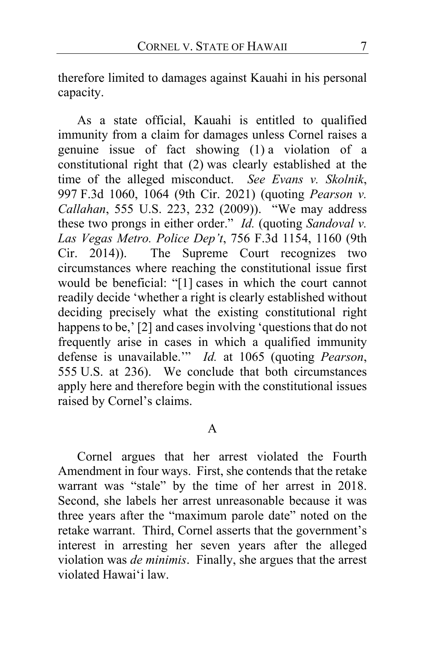therefore limited to damages against Kauahi in his personal capacity.

As a state official, Kauahi is entitled to qualified immunity from a claim for damages unless Cornel raises a genuine issue of fact showing (1) a violation of a constitutional right that (2) was clearly established at the time of the alleged misconduct. *See Evans v. Skolnik*, 997 F.3d 1060, 1064 (9th Cir. 2021) (quoting *Pearson v. Callahan*, 555 U.S. 223, 232 (2009)). "We may address these two prongs in either order." *Id.* (quoting *Sandoval v. Las Vegas Metro. Police Dep't*, 756 F.3d 1154, 1160 (9th Cir. 2014)). The Supreme Court recognizes two circumstances where reaching the constitutional issue first would be beneficial: "[1] cases in which the court cannot readily decide 'whether a right is clearly established without deciding precisely what the existing constitutional right happens to be,' [2] and cases involving 'questions that do not frequently arise in cases in which a qualified immunity defense is unavailable.'" *Id.* at 1065 (quoting *Pearson*, 555 U.S. at 236). We conclude that both circumstances apply here and therefore begin with the constitutional issues raised by Cornel's claims.

### A

Cornel argues that her arrest violated the Fourth Amendment in four ways. First, she contends that the retake warrant was "stale" by the time of her arrest in 2018. Second, she labels her arrest unreasonable because it was three years after the "maximum parole date" noted on the retake warrant. Third, Cornel asserts that the government's interest in arresting her seven years after the alleged violation was *de minimis*. Finally, she argues that the arrest violated Hawai'i law.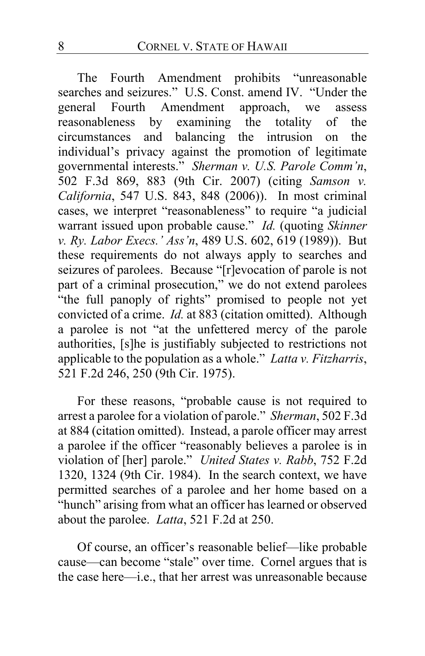The Fourth Amendment prohibits "unreasonable searches and seizures." U.S. Const. amend IV. "Under the general Fourth Amendment approach, we assess reasonableness by examining the totality of the circumstances and balancing the intrusion on the individual's privacy against the promotion of legitimate governmental interests." *Sherman v. U.S. Parole Comm'n*, 502 F.3d 869, 883 (9th Cir. 2007) (citing *Samson v. California*, 547 U.S. 843, 848 (2006)). In most criminal cases, we interpret "reasonableness" to require "a judicial warrant issued upon probable cause." *Id.* (quoting *Skinner v. Ry. Labor Execs.' Ass'n*, 489 U.S. 602, 619 (1989)). But these requirements do not always apply to searches and seizures of parolees. Because "[r]evocation of parole is not part of a criminal prosecution," we do not extend parolees "the full panoply of rights" promised to people not yet convicted of a crime. *Id.* at 883 (citation omitted). Although a parolee is not "at the unfettered mercy of the parole authorities, [s]he is justifiably subjected to restrictions not applicable to the population as a whole." *Latta v. Fitzharris*, 521 F.2d 246, 250 (9th Cir. 1975).

For these reasons, "probable cause is not required to arrest a parolee for a violation of parole." *Sherman*, 502 F.3d at 884 (citation omitted). Instead, a parole officer may arrest a parolee if the officer "reasonably believes a parolee is in violation of [her] parole." *United States v. Rabb*, 752 F.2d 1320, 1324 (9th Cir. 1984). In the search context, we have permitted searches of a parolee and her home based on a "hunch" arising from what an officer has learned or observed about the parolee. *Latta*, 521 F.2d at 250.

Of course, an officer's reasonable belief—like probable cause—can become "stale" over time. Cornel argues that is the case here—i.e., that her arrest was unreasonable because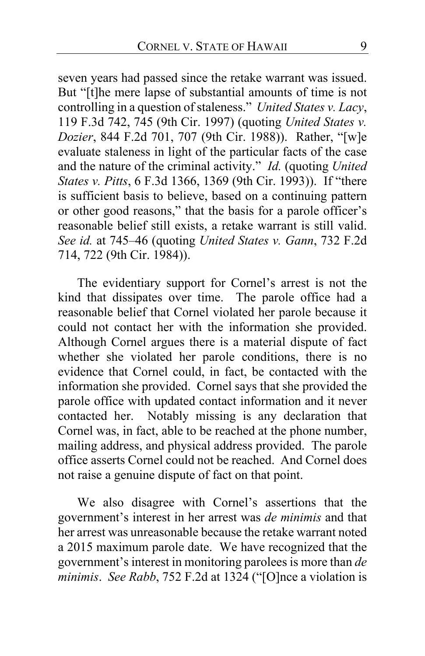seven years had passed since the retake warrant was issued. But "[t]he mere lapse of substantial amounts of time is not controlling in a question of staleness." *United States v. Lacy*, 119 F.3d 742, 745 (9th Cir. 1997) (quoting *United States v. Dozier*, 844 F.2d 701, 707 (9th Cir. 1988)). Rather, "[w]e evaluate staleness in light of the particular facts of the case and the nature of the criminal activity." *Id.* (quoting *United States v. Pitts*, 6 F.3d 1366, 1369 (9th Cir. 1993)). If "there is sufficient basis to believe, based on a continuing pattern or other good reasons," that the basis for a parole officer's reasonable belief still exists, a retake warrant is still valid. *See id.* at 745–46 (quoting *United States v. Gann*, 732 F.2d 714, 722 (9th Cir. 1984)).

The evidentiary support for Cornel's arrest is not the kind that dissipates over time. The parole office had a reasonable belief that Cornel violated her parole because it could not contact her with the information she provided. Although Cornel argues there is a material dispute of fact whether she violated her parole conditions, there is no evidence that Cornel could, in fact, be contacted with the information she provided. Cornel says that she provided the parole office with updated contact information and it never contacted her. Notably missing is any declaration that Cornel was, in fact, able to be reached at the phone number, mailing address, and physical address provided. The parole office asserts Cornel could not be reached. And Cornel does not raise a genuine dispute of fact on that point.

We also disagree with Cornel's assertions that the government's interest in her arrest was *de minimis* and that her arrest was unreasonable because the retake warrant noted a 2015 maximum parole date. We have recognized that the government's interest in monitoring parolees is more than *de minimis*. *See Rabb*, 752 F.2d at 1324 ("[O]nce a violation is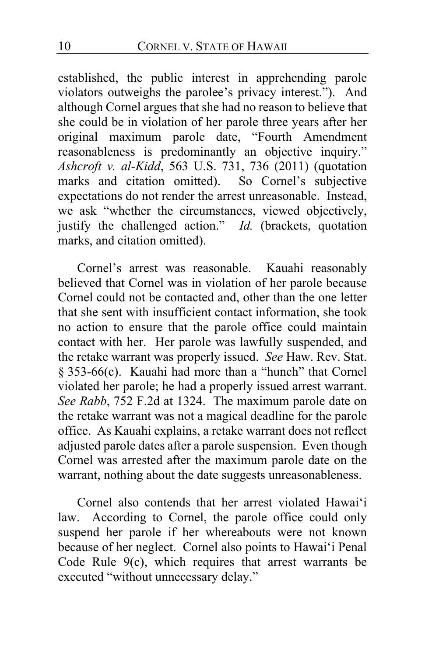established, the public interest in apprehending parole violators outweighs the parolee's privacy interest."). And although Cornel argues that she had no reason to believe that she could be in violation of her parole three years after her original maximum parole date, "Fourth Amendment reasonableness is predominantly an objective inquiry." *Ashcroft v. al-Kidd*, 563 U.S. 731, 736 (2011) (quotation marks and citation omitted). So Cornel's subjective expectations do not render the arrest unreasonable. Instead, we ask "whether the circumstances, viewed objectively, justify the challenged action." *Id.* (brackets, quotation marks, and citation omitted).

Cornel's arrest was reasonable. Kauahi reasonably believed that Cornel was in violation of her parole because Cornel could not be contacted and, other than the one letter that she sent with insufficient contact information, she took no action to ensure that the parole office could maintain contact with her. Her parole was lawfully suspended, and the retake warrant was properly issued. *See* Haw. Rev. Stat. § 353-66(c). Kauahi had more than a "hunch" that Cornel violated her parole; he had a properly issued arrest warrant. *See Rabb*, 752 F.2d at 1324. The maximum parole date on the retake warrant was not a magical deadline for the parole office. As Kauahi explains, a retake warrant does not reflect adjusted parole dates after a parole suspension. Even though Cornel was arrested after the maximum parole date on the warrant, nothing about the date suggests unreasonableness.

Cornel also contends that her arrest violated Hawai'i law. According to Cornel, the parole office could only suspend her parole if her whereabouts were not known because of her neglect. Cornel also points to Hawai'i Penal Code Rule 9(c), which requires that arrest warrants be executed "without unnecessary delay."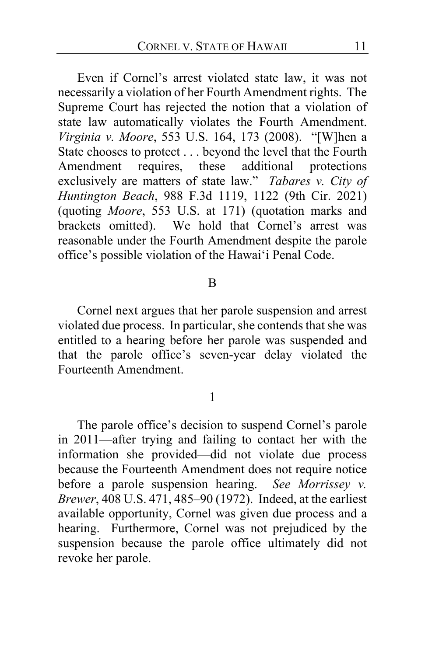Even if Cornel's arrest violated state law, it was not necessarily a violation of her Fourth Amendment rights. The Supreme Court has rejected the notion that a violation of state law automatically violates the Fourth Amendment. *Virginia v. Moore*, 553 U.S. 164, 173 (2008). "[W]hen a State chooses to protect . . . beyond the level that the Fourth<br>Amendment requires, these additional protections Amendment requires, these exclusively are matters of state law." *Tabares v. City of Huntington Beach*, 988 F.3d 1119, 1122 (9th Cir. 2021) (quoting *Moore*, 553 U.S. at 171) (quotation marks and brackets omitted). We hold that Cornel's arrest was reasonable under the Fourth Amendment despite the parole office's possible violation of the Hawai'i Penal Code.

#### B

Cornel next argues that her parole suspension and arrest violated due process. In particular, she contends that she was entitled to a hearing before her parole was suspended and that the parole office's seven-year delay violated the Fourteenth Amendment.

### 1

The parole office's decision to suspend Cornel's parole in 2011—after trying and failing to contact her with the information she provided—did not violate due process because the Fourteenth Amendment does not require notice before a parole suspension hearing. *See Morrissey v. Brewer*, 408 U.S. 471, 485–90 (1972). Indeed, at the earliest available opportunity, Cornel was given due process and a hearing. Furthermore, Cornel was not prejudiced by the suspension because the parole office ultimately did not revoke her parole.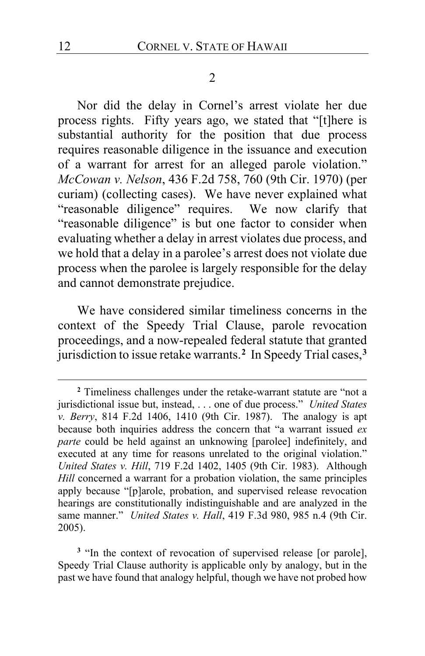#### 2

Nor did the delay in Cornel's arrest violate her due process rights. Fifty years ago, we stated that "[t]here is substantial authority for the position that due process requires reasonable diligence in the issuance and execution of a warrant for arrest for an alleged parole violation." *McCowan v. Nelson*, 436 F.2d 758, 760 (9th Cir. 1970) (per curiam) (collecting cases). We have never explained what "reasonable diligence" requires. We now clarify that "reasonable diligence" is but one factor to consider when evaluating whether a delay in arrest violates due process, and we hold that a delay in a parolee's arrest does not violate due process when the parolee is largely responsible for the delay and cannot demonstrate prejudice.

We have considered similar timeliness concerns in the context of the Speedy Trial Clause, parole revocation proceedings, and a now-repealed federal statute that granted jurisdiction to issue retake warrants.**[2](#page-11-0)** In Speedy Trial cases,**[3](#page-11-1)**

<span id="page-11-1"></span><sup>3</sup> "In the context of revocation of supervised release [or parole], Speedy Trial Clause authority is applicable only by analogy, but in the past we have found that analogy helpful, though we have not probed how

<span id="page-11-0"></span>**<sup>2</sup>** Timeliness challenges under the retake-warrant statute are "not a jurisdictional issue but, instead, . . . one of due process." *United States v. Berry*, 814 F.2d 1406, 1410 (9th Cir. 1987). The analogy is apt because both inquiries address the concern that "a warrant issued *ex parte* could be held against an unknowing [parolee] indefinitely, and executed at any time for reasons unrelated to the original violation." *United States v. Hill*, 719 F.2d 1402, 1405 (9th Cir. 1983). Although *Hill* concerned a warrant for a probation violation, the same principles apply because "[p]arole, probation, and supervised release revocation hearings are constitutionally indistinguishable and are analyzed in the same manner." *United States v. Hall*, 419 F.3d 980, 985 n.4 (9th Cir. 2005).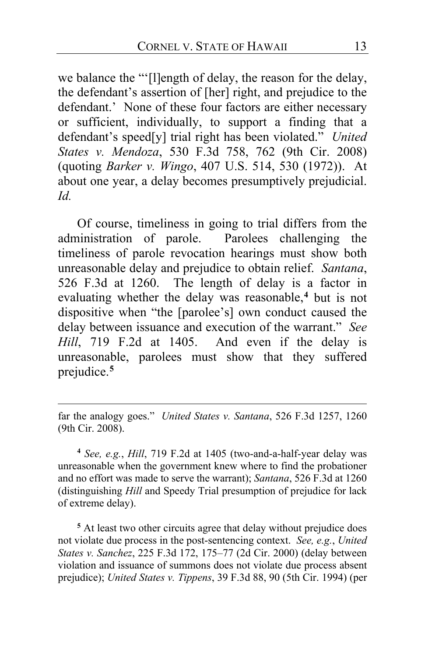we balance the "'[l]ength of delay, the reason for the delay, the defendant's assertion of [her] right, and prejudice to the defendant.' None of these four factors are either necessary or sufficient, individually, to support a finding that a defendant's speed[y] trial right has been violated." *United States v. Mendoza*, 530 F.3d 758, 762 (9th Cir. 2008) (quoting *Barker v. Wingo*, 407 U.S. 514, 530 (1972)). At about one year, a delay becomes presumptively prejudicial. *Id.*

Of course, timeliness in going to trial differs from the administration of parole. Parolees challenging the timeliness of parole revocation hearings must show both unreasonable delay and prejudice to obtain relief. *Santana*, 526 F.3d at 1260. The length of delay is a factor in evaluating whether the delay was reasonable,**[4](#page-12-0)** but is not dispositive when "the [parolee's] own conduct caused the delay between issuance and execution of the warrant." *See Hill*, 719 F.2d at 1405. And even if the delay is unreasonable, parolees must show that they suffered prejudice.**[5](#page-12-1)**

far the analogy goes." *United States v. Santana*, 526 F.3d 1257, 1260 (9th Cir. 2008).

<span id="page-12-0"></span>**<sup>4</sup>** *See, e.g.*, *Hill*, 719 F.2d at 1405 (two-and-a-half-year delay was unreasonable when the government knew where to find the probationer and no effort was made to serve the warrant); *Santana*, 526 F.3d at 1260 (distinguishing *Hill* and Speedy Trial presumption of prejudice for lack of extreme delay).

<span id="page-12-1"></span>**<sup>5</sup>** At least two other circuits agree that delay without prejudice does not violate due process in the post-sentencing context. *See, e.g.*, *United States v. Sanchez*, 225 F.3d 172, 175–77 (2d Cir. 2000) (delay between violation and issuance of summons does not violate due process absent prejudice); *United States v. Tippens*, 39 F.3d 88, 90 (5th Cir. 1994) (per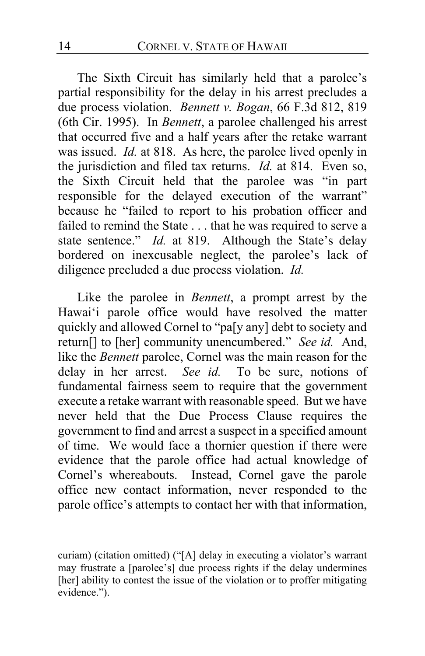The Sixth Circuit has similarly held that a parolee's partial responsibility for the delay in his arrest precludes a due process violation. *Bennett v. Bogan*, 66 F.3d 812, 819 (6th Cir. 1995). In *Bennett*, a parolee challenged his arrest that occurred five and a half years after the retake warrant was issued. *Id.* at 818. As here, the parolee lived openly in the jurisdiction and filed tax returns. *Id.* at 814. Even so, the Sixth Circuit held that the parolee was "in part responsible for the delayed execution of the warrant" because he "failed to report to his probation officer and failed to remind the State . . . that he was required to serve a state sentence." *Id.* at 819. Although the State's delay bordered on inexcusable neglect, the parolee's lack of diligence precluded a due process violation. *Id.*

Like the parolee in *Bennett*, a prompt arrest by the Hawai'i parole office would have resolved the matter quickly and allowed Cornel to "pa[y any] debt to society and return[] to [her] community unencumbered." *See id.* And, like the *Bennett* parolee, Cornel was the main reason for the delay in her arrest. *See id.* To be sure, notions of fundamental fairness seem to require that the government execute a retake warrant with reasonable speed. But we have never held that the Due Process Clause requires the government to find and arrest a suspect in a specified amount of time. We would face a thornier question if there were evidence that the parole office had actual knowledge of Cornel's whereabouts. Instead, Cornel gave the parole office new contact information, never responded to the parole office's attempts to contact her with that information,

curiam) (citation omitted) ("[A] delay in executing a violator's warrant may frustrate a [parolee's] due process rights if the delay undermines [her] ability to contest the issue of the violation or to proffer mitigating evidence.").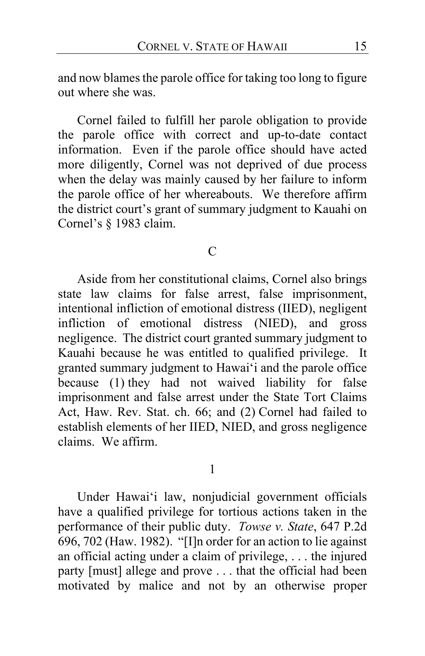and now blames the parole office for taking too long to figure out where she was.

Cornel failed to fulfill her parole obligation to provide the parole office with correct and up-to-date contact information. Even if the parole office should have acted more diligently, Cornel was not deprived of due process when the delay was mainly caused by her failure to inform the parole office of her whereabouts. We therefore affirm the district court's grant of summary judgment to Kauahi on Cornel's § 1983 claim.

### $\mathcal{C}$

Aside from her constitutional claims, Cornel also brings state law claims for false arrest, false imprisonment, intentional infliction of emotional distress (IIED), negligent infliction of emotional distress (NIED), and gross negligence. The district court granted summary judgment to Kauahi because he was entitled to qualified privilege. It granted summary judgment to Hawai'i and the parole office because (1) they had not waived liability for false imprisonment and false arrest under the State Tort Claims Act, Haw. Rev. Stat. ch. 66; and (2) Cornel had failed to establish elements of her IIED, NIED, and gross negligence claims. We affirm.

### 1

Under Hawai'i law, nonjudicial government officials have a qualified privilege for tortious actions taken in the performance of their public duty. *Towse v. State*, 647 P.2d 696, 702 (Haw. 1982). "[I]n order for an action to lie against an official acting under a claim of privilege, . . . the injured party [must] allege and prove . . . that the official had been motivated by malice and not by an otherwise proper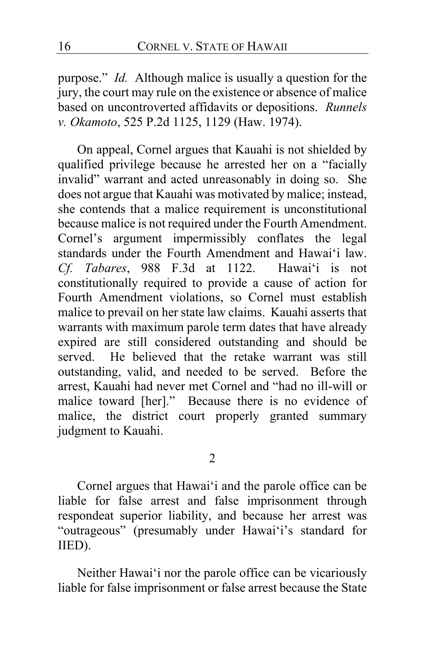purpose." *Id.* Although malice is usually a question for the jury, the court may rule on the existence or absence of malice based on uncontroverted affidavits or depositions. *Runnels v. Okamoto*, 525 P.2d 1125, 1129 (Haw. 1974).

On appeal, Cornel argues that Kauahi is not shielded by qualified privilege because he arrested her on a "facially invalid" warrant and acted unreasonably in doing so. She does not argue that Kauahi was motivated by malice; instead, she contends that a malice requirement is unconstitutional because malice is not required under the Fourth Amendment. Cornel's argument impermissibly conflates the legal standards under the Fourth Amendment and Hawai'i law. *Cf. Tabares*, 988 F.3d at 1122. Hawai'i is not constitutionally required to provide a cause of action for Fourth Amendment violations, so Cornel must establish malice to prevail on her state law claims. Kauahi asserts that warrants with maximum parole term dates that have already expired are still considered outstanding and should be served. He believed that the retake warrant was still outstanding, valid, and needed to be served. Before the arrest, Kauahi had never met Cornel and "had no ill-will or malice toward [her]." Because there is no evidence of malice, the district court properly granted summary judgment to Kauahi.

2

Cornel argues that Hawai'i and the parole office can be liable for false arrest and false imprisonment through respondeat superior liability, and because her arrest was "outrageous" (presumably under Hawai'i's standard for IIED).

Neither Hawai'i nor the parole office can be vicariously liable for false imprisonment or false arrest because the State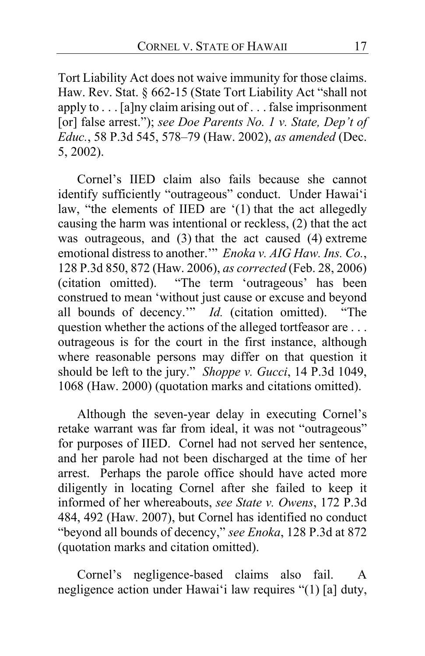Tort Liability Act does not waive immunity for those claims. Haw. Rev. Stat. § 662-15 (State Tort Liability Act "shall not apply to . . . [a]ny claim arising out of . . . false imprisonment [or] false arrest."); *see Doe Parents No. 1 v. State, Dep't of Educ.*, 58 P.3d 545, 578–79 (Haw. 2002), *as amended* (Dec. 5, 2002).

Cornel's IIED claim also fails because she cannot identify sufficiently "outrageous" conduct. Under Hawai'i law, "the elements of IIED are '(1) that the act allegedly causing the harm was intentional or reckless, (2) that the act was outrageous, and (3) that the act caused (4) extreme emotional distress to another.'" *Enoka v. AIG Haw. Ins. Co.*, 128 P.3d 850, 872 (Haw. 2006), *as corrected* (Feb. 28, 2006) (citation omitted). "The term 'outrageous' has been construed to mean 'without just cause or excuse and beyond<br>all bounds of decency." *Id.* (citation omitted). "The all bounds of decency." *Id.* (citation omitted). question whether the actions of the alleged tortfeasor are ... outrageous is for the court in the first instance, although where reasonable persons may differ on that question it should be left to the jury." *Shoppe v. Gucci*, 14 P.3d 1049, 1068 (Haw. 2000) (quotation marks and citations omitted).

Although the seven-year delay in executing Cornel's retake warrant was far from ideal, it was not "outrageous" for purposes of IIED. Cornel had not served her sentence, and her parole had not been discharged at the time of her arrest. Perhaps the parole office should have acted more diligently in locating Cornel after she failed to keep it informed of her whereabouts, *see State v. Owens*, 172 P.3d 484, 492 (Haw. 2007), but Cornel has identified no conduct "beyond all bounds of decency," *see Enoka*, 128 P.3d at 872 (quotation marks and citation omitted).

Cornel's negligence-based claims also fail. A negligence action under Hawai'i law requires "(1) [a] duty,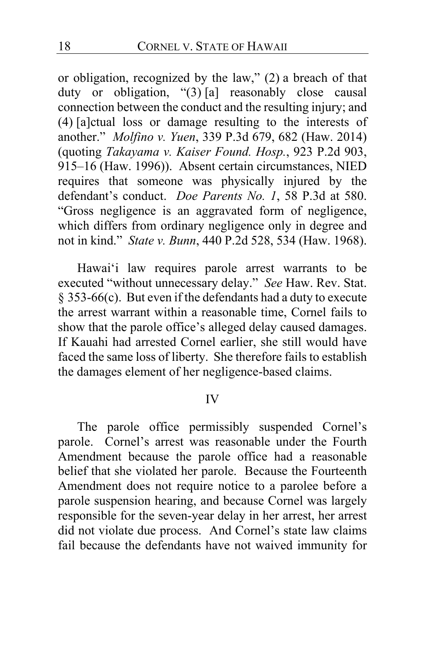or obligation, recognized by the law," (2) a breach of that duty or obligation, "(3) [a] reasonably close causal connection between the conduct and the resulting injury; and (4) [a]ctual loss or damage resulting to the interests of another." *Molfino v. Yuen*, 339 P.3d 679, 682 (Haw. 2014) (quoting *Takayama v. Kaiser Found. Hosp.*, 923 P.2d 903, 915–16 (Haw. 1996)). Absent certain circumstances, NIED requires that someone was physically injured by the defendant's conduct. *Doe Parents No. 1*, 58 P.3d at 580. "Gross negligence is an aggravated form of negligence, which differs from ordinary negligence only in degree and not in kind." *State v. Bunn*, 440 P.2d 528, 534 (Haw. 1968).

Hawai'i law requires parole arrest warrants to be executed "without unnecessary delay." *See* Haw. Rev. Stat. § 353-66(c). But even if the defendants had a duty to execute the arrest warrant within a reasonable time, Cornel fails to show that the parole office's alleged delay caused damages. If Kauahi had arrested Cornel earlier, she still would have faced the same loss of liberty. She therefore fails to establish the damages element of her negligence-based claims.

### IV

The parole office permissibly suspended Cornel's parole. Cornel's arrest was reasonable under the Fourth Amendment because the parole office had a reasonable belief that she violated her parole. Because the Fourteenth Amendment does not require notice to a parolee before a parole suspension hearing, and because Cornel was largely responsible for the seven-year delay in her arrest, her arrest did not violate due process. And Cornel's state law claims fail because the defendants have not waived immunity for